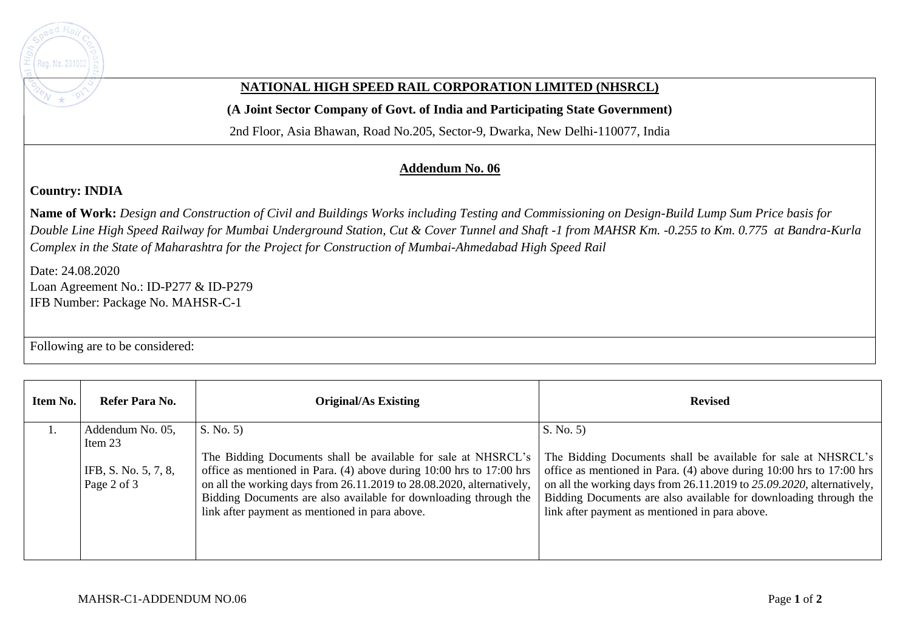

## **NATIONAL HIGH SPEED RAIL CORPORATION LIMITED (NHSRCL)**

**(A Joint Sector Company of Govt. of India and Participating State Government)** 

2nd Floor, Asia Bhawan, Road No.205, Sector-9, Dwarka, New Delhi-110077, India

## **Addendum No. 06**

## **Country: INDIA**

**Name of Work:** *Design and Construction of Civil and Buildings Works including Testing and Commissioning on Design-Build Lump Sum Price basis for Double Line High Speed Railway for Mumbai Underground Station, Cut & Cover Tunnel and Shaft -1 from MAHSR Km. -0.255 to Km. 0.775 at Bandra-Kurla Complex in the State of Maharashtra for the Project for Construction of Mumbai-Ahmedabad High Speed Rail*

Date: 24.08.2020 Loan Agreement No.: ID-P277 & ID-P279 IFB Number: Package No. MAHSR-C-1

Following are to be considered:

| Item No. | Refer Para No.                      | <b>Original/As Existing</b>                                                                                                                                                                                                                                         | <b>Revised</b>                                                                                                                                                                                                                                                        |
|----------|-------------------------------------|---------------------------------------------------------------------------------------------------------------------------------------------------------------------------------------------------------------------------------------------------------------------|-----------------------------------------------------------------------------------------------------------------------------------------------------------------------------------------------------------------------------------------------------------------------|
|          | Addendum No. 05,<br>Item 23         | S. No. 5<br>The Bidding Documents shall be available for sale at NHSRCL's                                                                                                                                                                                           | S. No. 5<br>The Bidding Documents shall be available for sale at NHSRCL's                                                                                                                                                                                             |
|          | IFB, S. No. 5, 7, 8,<br>Page 2 of 3 | office as mentioned in Para. (4) above during 10:00 hrs to 17:00 hrs<br>on all the working days from 26.11.2019 to 28.08.2020, alternatively,<br>Bidding Documents are also available for downloading through the<br>link after payment as mentioned in para above. | office as mentioned in Para. $(4)$ above during 10:00 hrs to 17:00 hrs<br>on all the working days from 26.11.2019 to 25.09.2020, alternatively,<br>Bidding Documents are also available for downloading through the<br>link after payment as mentioned in para above. |